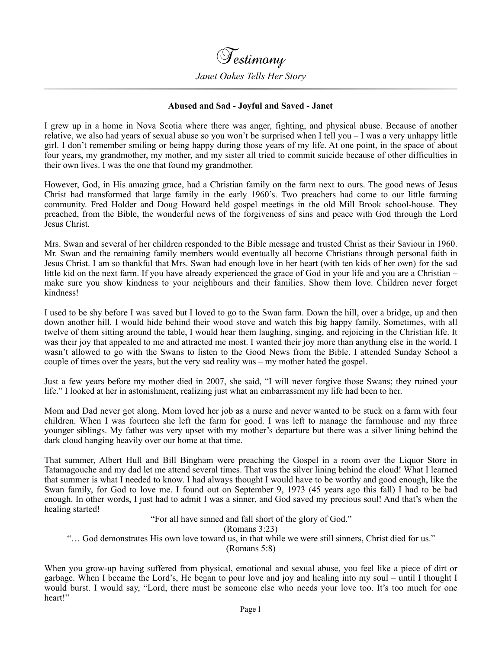

## **Abused and Sad - Joyful and Saved - Janet**

I grew up in a home in Nova Scotia where there was anger, fighting, and physical abuse. Because of another relative, we also had years of sexual abuse so you won't be surprised when I tell you – I was a very unhappy little girl. I don't remember smiling or being happy during those years of my life. At one point, in the space of about four years, my grandmother, my mother, and my sister all tried to commit suicide because of other difficulties in their own lives. I was the one that found my grandmother.

However, God, in His amazing grace, had a Christian family on the farm next to ours. The good news of Jesus Christ had transformed that large family in the early 1960's. Two preachers had come to our little farming community. Fred Holder and Doug Howard held gospel meetings in the old Mill Brook school-house. They preached, from the Bible, the wonderful news of the forgiveness of sins and peace with God through the Lord Jesus Christ.

Mrs. Swan and several of her children responded to the Bible message and trusted Christ as their Saviour in 1960. Mr. Swan and the remaining family members would eventually all become Christians through personal faith in Jesus Christ. I am so thankful that Mrs. Swan had enough love in her heart (with ten kids of her own) for the sad little kid on the next farm. If you have already experienced the grace of God in your life and you are a Christian – make sure you show kindness to your neighbours and their families. Show them love. Children never forget kindness!

I used to be shy before I was saved but I loved to go to the Swan farm. Down the hill, over a bridge, up and then down another hill. I would hide behind their wood stove and watch this big happy family. Sometimes, with all twelve of them sitting around the table, I would hear them laughing, singing, and rejoicing in the Christian life. It was their joy that appealed to me and attracted me most. I wanted their joy more than anything else in the world. I wasn't allowed to go with the Swans to listen to the Good News from the Bible. I attended Sunday School a couple of times over the years, but the very sad reality was – my mother hated the gospel.

Just a few years before my mother died in 2007, she said, "I will never forgive those Swans; they ruined your life." I looked at her in astonishment, realizing just what an embarrassment my life had been to her.

Mom and Dad never got along. Mom loved her job as a nurse and never wanted to be stuck on a farm with four children. When I was fourteen she left the farm for good. I was left to manage the farmhouse and my three younger siblings. My father was very upset with my mother's departure but there was a silver lining behind the dark cloud hanging heavily over our home at that time.

That summer, Albert Hull and Bill Bingham were preaching the Gospel in a room over the Liquor Store in Tatamagouche and my dad let me attend several times. That was the silver lining behind the cloud! What I learned that summer is what I needed to know. I had always thought I would have to be worthy and good enough, like the Swan family, for God to love me. I found out on September 9, 1973 (45 years ago this fall) I had to be bad enough. In other words, I just had to admit I was a sinner, and God saved my precious soul! And that's when the healing started!

"For all have sinned and fall short of the glory of God."

(Romans 3:23)

"… God demonstrates His own love toward us, in that while we were still sinners, Christ died for us."

(Romans 5:8)

When you grow-up having suffered from physical, emotional and sexual abuse, you feel like a piece of dirt or garbage. When I became the Lord's, He began to pour love and joy and healing into my soul – until I thought I would burst. I would say, "Lord, there must be someone else who needs your love too. It's too much for one heart!"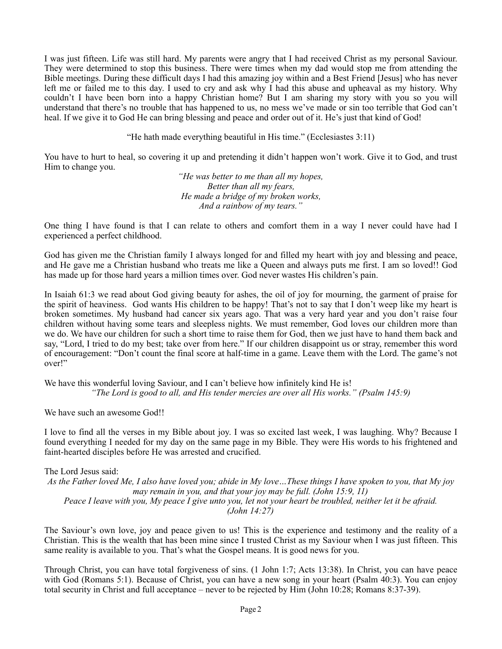I was just fifteen. Life was still hard. My parents were angry that I had received Christ as my personal Saviour. They were determined to stop this business. There were times when my dad would stop me from attending the Bible meetings. During these difficult days I had this amazing joy within and a Best Friend [Jesus] who has never left me or failed me to this day. I used to cry and ask why I had this abuse and upheaval as my history. Why couldn't I have been born into a happy Christian home? But I am sharing my story with you so you will understand that there's no trouble that has happened to us, no mess we've made or sin too terrible that God can't heal. If we give it to God He can bring blessing and peace and order out of it. He's just that kind of God!

"He hath made everything beautiful in His time." (Ecclesiastes 3:11)

You have to hurt to heal, so covering it up and pretending it didn't happen won't work. Give it to God, and trust Him to change you.

> *"He was better to me than all my hopes, Better than all my fears, He made a bridge of my broken works, And a rainbow of my tears."*

One thing I have found is that I can relate to others and comfort them in a way I never could have had I experienced a perfect childhood.

God has given me the Christian family I always longed for and filled my heart with joy and blessing and peace, and He gave me a Christian husband who treats me like a Queen and always puts me first. I am so loved!! God has made up for those hard years a million times over. God never wastes His children's pain.

In Isaiah 61:3 we read about God giving beauty for ashes, the oil of joy for mourning, the garment of praise for the spirit of heaviness. God wants His children to be happy! That's not to say that I don't weep like my heart is broken sometimes. My husband had cancer six years ago. That was a very hard year and you don't raise four children without having some tears and sleepless nights. We must remember, God loves our children more than we do. We have our children for such a short time to raise them for God, then we just have to hand them back and say, "Lord, I tried to do my best; take over from here." If our children disappoint us or stray, remember this word of encouragement: "Don't count the final score at half-time in a game. Leave them with the Lord. The game's not over!"

We have this wonderful loving Saviour, and I can't believe how infinitely kind He is! *"The Lord is good to all, and His tender mercies are over all His works." (Psalm 145:9)* 

We have such an awesome God!!

I love to find all the verses in my Bible about joy. I was so excited last week, I was laughing. Why? Because I found everything I needed for my day on the same page in my Bible. They were His words to his frightened and faint-hearted disciples before He was arrested and crucified.

The Lord Jesus said: *As the Father loved Me, I also have loved you; abide in My love…These things I have spoken to you, that My joy may remain in you, and that your joy may be full. (John 15:9, 11) Peace I leave with you, My peace I give unto you, let not your heart be troubled, neither let it be afraid. (John 14:27)*

The Saviour's own love, joy and peace given to us! This is the experience and testimony and the reality of a Christian. This is the wealth that has been mine since I trusted Christ as my Saviour when I was just fifteen. This same reality is available to you. That's what the Gospel means. It is good news for you.

Through Christ, you can have total forgiveness of sins. (1 John 1:7; Acts 13:38). In Christ, you can have peace with God (Romans 5:1). Because of Christ, you can have a new song in your heart (Psalm 40:3). You can enjoy total security in Christ and full acceptance – never to be rejected by Him (John 10:28; Romans 8:37-39).